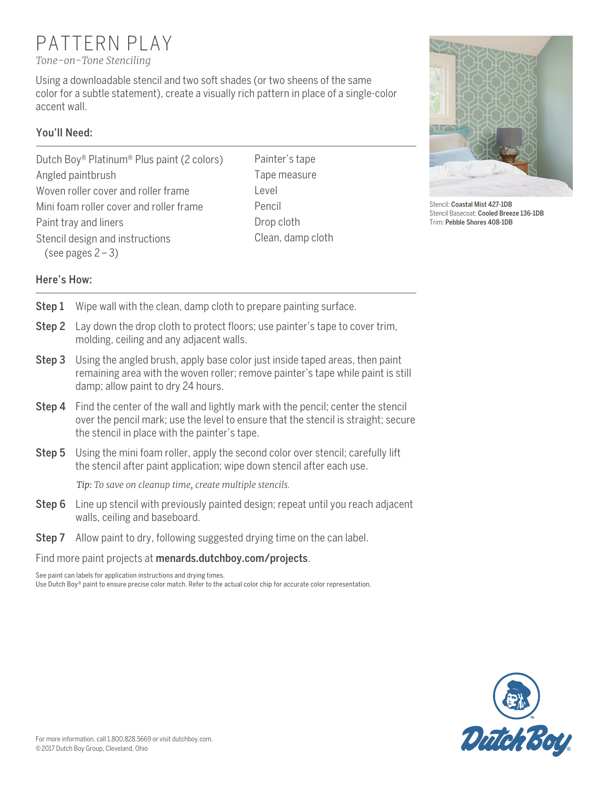# PATTERN PLAY

*Tone-on-Tone Stenciling*

Using a downloadable stencil and two soft shades (or two sheens of the same color for a subtle statement), create a visually rich pattern in place of a single-color accent wall.

## You'll Need:

- Dutch Boy® Platinum® Plus paint (2 colors) Angled paintbrush Woven roller cover and roller frame Mini foam roller cover and roller frame Paint tray and liners Stencil design and instructions (see pages  $2 - 3$ )
- Painter's tape Tape measure Level Pencil Drop cloth Clean, damp cloth



Stencil: Coastal Mist 427-1DB Stencil Basecoat: Cooled Breeze 136-1DB Trim: Pebble Shores 408-1DB

### Here's How:

- Step 1 Wipe wall with the clean, damp cloth to prepare painting surface.
- Step 2 Lay down the drop cloth to protect floors; use painter's tape to cover trim, molding, ceiling and any adjacent walls.
- Step 3 Using the angled brush, apply base color just inside taped areas, then paint remaining area with the woven roller; remove painter's tape while paint is still damp; allow paint to dry 24 hours.
- **Step 4** Find the center of the wall and lightly mark with the pencil; center the stencil over the pencil mark; use the level to ensure that the stencil is straight; secure the stencil in place with the painter's tape.
- Step 5 Using the mini foam roller, apply the second color over stencil; carefully lift the stencil after paint application; wipe down stencil after each use.

*Tip: To save on cleanup time, create multiple stencils.*

- Step 6 Line up stencil with previously painted design; repeat until you reach adjacent walls, ceiling and baseboard.
- Step 7 Allow paint to dry, following suggested drying time on the can label.

Find more paint projects at [menards.dutchboy.com/projects](http://menards.dutchboy.com/projects).

See paint can labels for application instructions and drying times. Use Dutch Boy® paint to ensure precise color match. Refer to the actual color chip for accurate color representation.

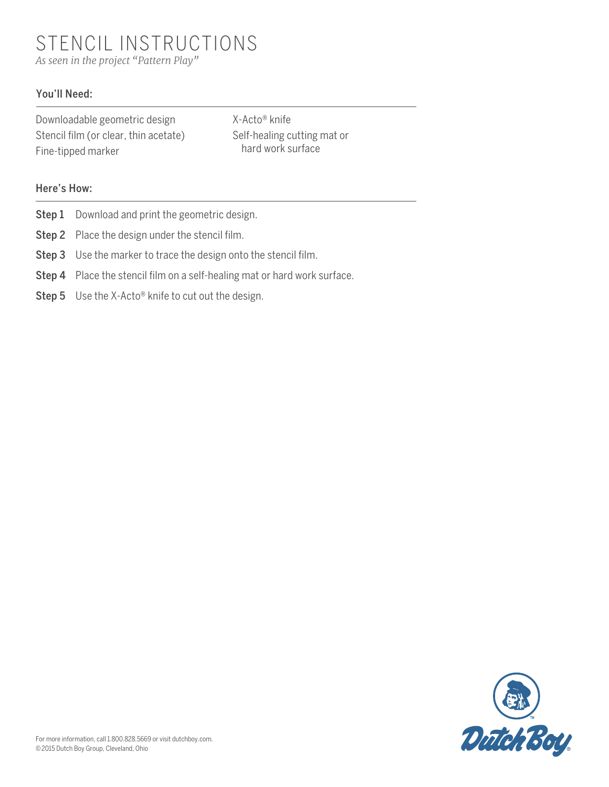STENCIL INSTRUCTIONS *As seen in the project "Pattern Play"*

#### You'll Need:

| Downloadable geometric design         |
|---------------------------------------|
| Stencil film (or clear, thin acetate) |
| Fine-tipped marker                    |

X-Acto∏ knife Self-healing cutting mat or hard work surface

#### Here's How:

- Step 1 Download and print the geometric design.
- Step 2 Place the design under the stencil film.
- Step 3 Use the marker to trace the design onto the stencil film.
- Step 4 Place the stencil film on a self-healing mat or hard work surface.
- Step 5 Use the X-Acto® knife to cut out the design.